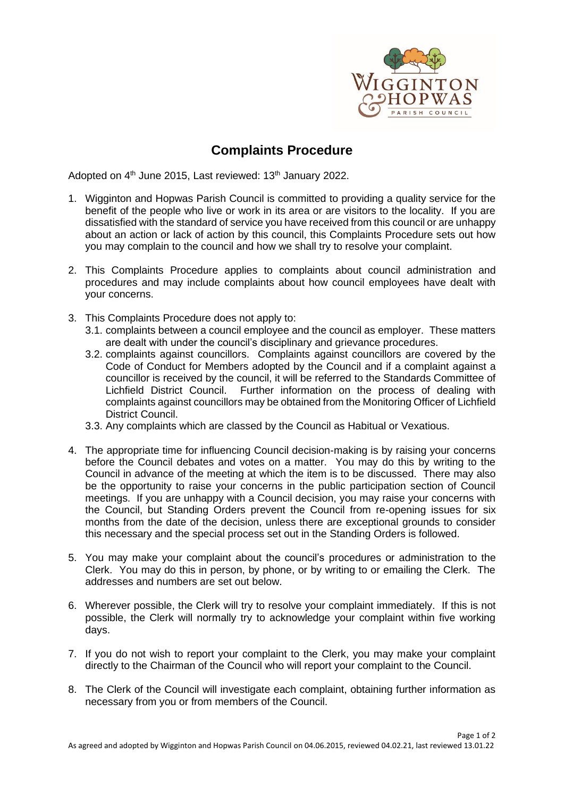

## **Complaints Procedure**

Adopted on 4<sup>th</sup> June 2015, Last reviewed: 13<sup>th</sup> January 2022.

- 1. Wigginton and Hopwas Parish Council is committed to providing a quality service for the benefit of the people who live or work in its area or are visitors to the locality. If you are dissatisfied with the standard of service you have received from this council or are unhappy about an action or lack of action by this council, this Complaints Procedure sets out how you may complain to the council and how we shall try to resolve your complaint.
- 2. This Complaints Procedure applies to complaints about council administration and procedures and may include complaints about how council employees have dealt with your concerns.
- 3. This Complaints Procedure does not apply to:
	- 3.1. complaints between a council employee and the council as employer. These matters are dealt with under the council's disciplinary and grievance procedures.
	- 3.2. complaints against councillors. Complaints against councillors are covered by the Code of Conduct for Members adopted by the Council and if a complaint against a councillor is received by the council, it will be referred to the Standards Committee of Lichfield District Council. Further information on the process of dealing with complaints against councillors may be obtained from the Monitoring Officer of Lichfield District Council.
	- 3.3. Any complaints which are classed by the Council as Habitual or Vexatious.
- 4. The appropriate time for influencing Council decision-making is by raising your concerns before the Council debates and votes on a matter. You may do this by writing to the Council in advance of the meeting at which the item is to be discussed. There may also be the opportunity to raise your concerns in the public participation section of Council meetings. If you are unhappy with a Council decision, you may raise your concerns with the Council, but Standing Orders prevent the Council from re-opening issues for six months from the date of the decision, unless there are exceptional grounds to consider this necessary and the special process set out in the Standing Orders is followed.
- 5. You may make your complaint about the council's procedures or administration to the Clerk. You may do this in person, by phone, or by writing to or emailing the Clerk. The addresses and numbers are set out below.
- 6. Wherever possible, the Clerk will try to resolve your complaint immediately. If this is not possible, the Clerk will normally try to acknowledge your complaint within five working days.
- 7. If you do not wish to report your complaint to the Clerk, you may make your complaint directly to the Chairman of the Council who will report your complaint to the Council.
- 8. The Clerk of the Council will investigate each complaint, obtaining further information as necessary from you or from members of the Council.